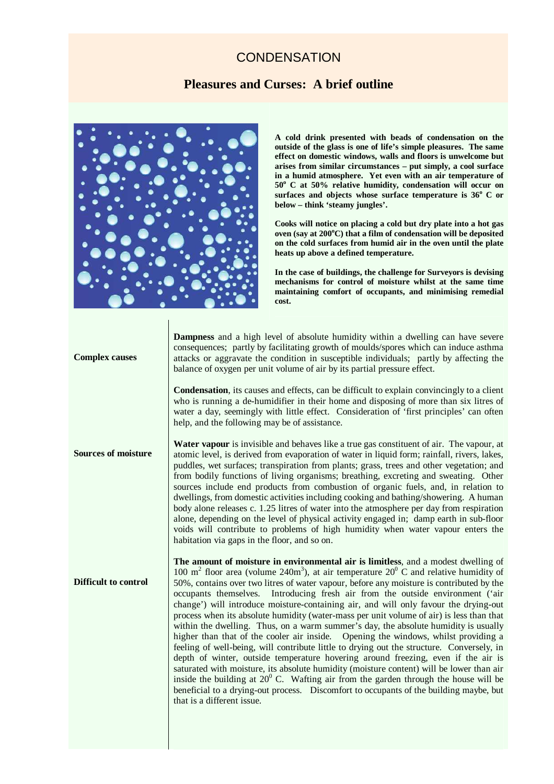## **CONDENSATION**

## **Pleasures and Curses: A brief outline**



**A cold drink presented with beads of condensation on the outside of the glass is one of life's simple pleasures. The same effect on domestic windows, walls and floors is unwelcome but arises from similar circumstances – put simply, a cool surface in a humid atmosphere. Yet even with an air temperature of 50<sup>o</sup> C at 50% relative humidity, condensation will occur on**  surfaces and objects whose surface temperature is 36° C or **below – think 'steamy jungles'.** 

**Cooks will notice on placing a cold but dry plate into a hot gas oven (say at 200<sup>o</sup>C) that a film of condensation will be deposited on the cold surfaces from humid air in the oven until the plate heats up above a defined temperature.** 

**In the case of buildings, the challenge for Surveyors is devising mechanisms for control of moisture whilst at the same time maintaining comfort of occupants, and minimising remedial cost.**

| <b>Complex causes</b>       | <b>Dampness</b> and a high level of absolute humidity within a dwelling can have severe<br>consequences; partly by facilitating growth of moulds/spores which can induce asthma<br>attacks or aggravate the condition in susceptible individuals; partly by affecting the<br>balance of oxygen per unit volume of air by its partial pressure effect.                                                                                                                                                                                                                                                                                                                                                                                                                                                                                                                                                                                                                                                                                                                                                                                                                                                                                                            |
|-----------------------------|------------------------------------------------------------------------------------------------------------------------------------------------------------------------------------------------------------------------------------------------------------------------------------------------------------------------------------------------------------------------------------------------------------------------------------------------------------------------------------------------------------------------------------------------------------------------------------------------------------------------------------------------------------------------------------------------------------------------------------------------------------------------------------------------------------------------------------------------------------------------------------------------------------------------------------------------------------------------------------------------------------------------------------------------------------------------------------------------------------------------------------------------------------------------------------------------------------------------------------------------------------------|
|                             | <b>Condensation</b> , its causes and effects, can be difficult to explain convincingly to a client<br>who is running a de-humidifier in their home and disposing of more than six litres of<br>water a day, seemingly with little effect. Consideration of 'first principles' can often<br>help, and the following may be of assistance.                                                                                                                                                                                                                                                                                                                                                                                                                                                                                                                                                                                                                                                                                                                                                                                                                                                                                                                         |
| <b>Sources of moisture</b>  | <b>Water vapour</b> is invisible and behaves like a true gas constituent of air. The vapour, at<br>atomic level, is derived from evaporation of water in liquid form; rainfall, rivers, lakes,<br>puddles, wet surfaces; transpiration from plants; grass, trees and other vegetation; and<br>from bodily functions of living organisms; breathing, excreting and sweating. Other<br>sources include end products from combustion of organic fuels, and, in relation to<br>dwellings, from domestic activities including cooking and bathing/showering. A human<br>body alone releases c. 1.25 litres of water into the atmosphere per day from respiration<br>alone, depending on the level of physical activity engaged in; damp earth in sub-floor<br>voids will contribute to problems of high humidity when water vapour enters the<br>habitation via gaps in the floor, and so on.                                                                                                                                                                                                                                                                                                                                                                         |
| <b>Difficult to control</b> | The amount of moisture in environmental air is limitless, and a modest dwelling of<br>100 m <sup>2</sup> floor area (volume 240m <sup>3</sup> ), at air temperature $20^{\circ}$ C and relative humidity of<br>50%, contains over two litres of water vapour, before any moisture is contributed by the<br>occupants themselves. Introducing fresh air from the outside environment ('air<br>change') will introduce moisture-containing air, and will only favour the drying-out<br>process when its absolute humidity (water-mass per unit volume of air) is less than that<br>within the dwelling. Thus, on a warm summer's day, the absolute humidity is usually<br>higher than that of the cooler air inside. Opening the windows, whilst providing a<br>feeling of well-being, will contribute little to drying out the structure. Conversely, in<br>depth of winter, outside temperature hovering around freezing, even if the air is<br>saturated with moisture, its absolute humidity (moisture content) will be lower than air<br>inside the building at $20^{\circ}$ C. Wafting air from the garden through the house will be<br>beneficial to a drying-out process. Discomfort to occupants of the building maybe, but<br>that is a different issue. |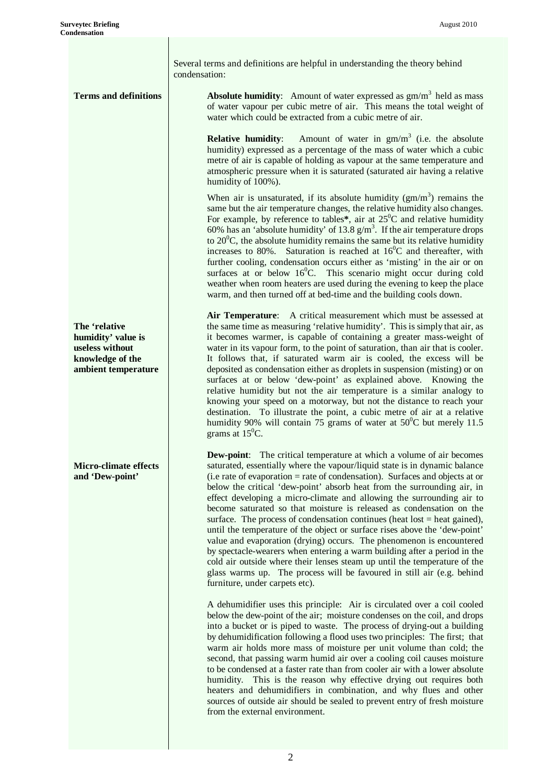Several terms and definitions are helpful in understanding the theory behind condensation:

**Terms and definitions Absolute humidity**: Amount of water expressed as  $gm/m<sup>3</sup>$  held as mass of water vapour per cubic metre of air. This means the total weight of water which could be extracted from a cubic metre of air.

> **Relative humidity**: Amount of water in  $gm/m<sup>3</sup>$  (i.e. the absolute humidity) expressed as a percentage of the mass of water which a cubic metre of air is capable of holding as vapour at the same temperature and atmospheric pressure when it is saturated (saturated air having a relative humidity of 100%).

> When air is unsaturated, if its absolute humidity  $(gm/m<sup>3</sup>)$  remains the same but the air temperature changes, the relative humidity also changes. For example, by reference to tables\*, air at  $25^{\circ}$ C and relative humidity 60% has an 'absolute humidity' of 13.8  $g/m<sup>3</sup>$ . If the air temperature drops to  $20^{\circ}$ C, the absolute humidity remains the same but its relative humidity increases to 80%. Saturation is reached at  $16^{\circ}$ C and thereafter, with further cooling, condensation occurs either as 'misting' in the air or on surfaces at or below  $16^{\circ}$ C. This scenario might occur during cold weather when room heaters are used during the evening to keep the place warm, and then turned off at bed-time and the building cools down.

> **Air Temperature**: A critical measurement which must be assessed at the same time as measuring 'relative humidity'. This is simply that air, as it becomes warmer, is capable of containing a greater mass-weight of water in its vapour form, to the point of saturation, than air that is cooler. It follows that, if saturated warm air is cooled, the excess will be deposited as condensation either as droplets in suspension (misting) or on surfaces at or below 'dew-point' as explained above. Knowing the relative humidity but not the air temperature is a similar analogy to knowing your speed on a motorway, but not the distance to reach your destination. To illustrate the point, a cubic metre of air at a relative humidity 90% will contain 75 grams of water at  $50^{\circ}$ C but merely 11.5 grams at  $15^{\circ}$ C.

> **Dew-point:** The critical temperature at which a volume of air becomes saturated, essentially where the vapour/liquid state is in dynamic balance (i.e rate of evaporation = rate of condensation). Surfaces and objects at or below the critical 'dew-point' absorb heat from the surrounding air, in effect developing a micro-climate and allowing the surrounding air to become saturated so that moisture is released as condensation on the surface. The process of condensation continues (heat lost = heat gained), until the temperature of the object or surface rises above the 'dew-point' value and evaporation (drying) occurs. The phenomenon is encountered by spectacle-wearers when entering a warm building after a period in the cold air outside where their lenses steam up until the temperature of the glass warms up. The process will be favoured in still air (e.g. behind furniture, under carpets etc).

> A dehumidifier uses this principle: Air is circulated over a coil cooled below the dew-point of the air; moisture condenses on the coil, and drops into a bucket or is piped to waste. The process of drying-out a building by dehumidification following a flood uses two principles: The first; that warm air holds more mass of moisture per unit volume than cold; the second, that passing warm humid air over a cooling coil causes moisture to be condensed at a faster rate than from cooler air with a lower absolute humidity. This is the reason why effective drying out requires both heaters and dehumidifiers in combination, and why flues and other sources of outside air should be sealed to prevent entry of fresh moisture from the external environment.

**The 'relative humidity' value is useless without knowledge of the ambient temperature** 

**Micro-climate effects and 'Dew-point'**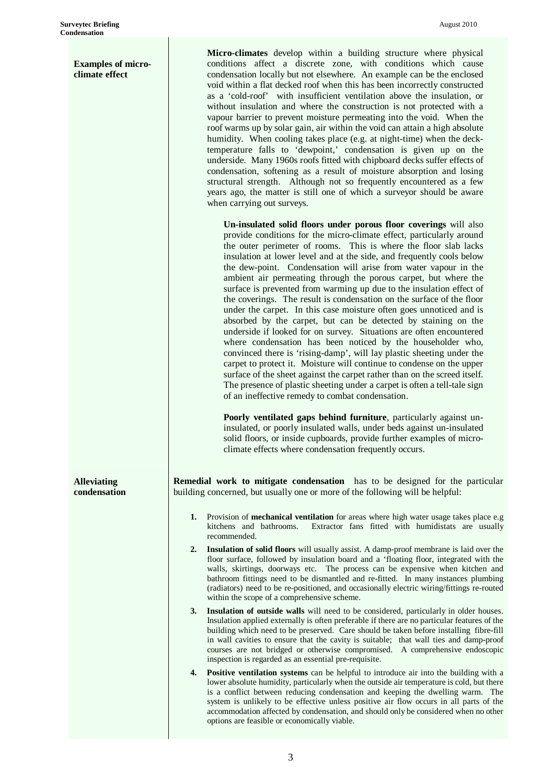| <b>Examples of micro-</b><br>climate effect |    | Micro-climates develop within a building structure where physical<br>conditions affect a discrete zone, with conditions which cause<br>condensation locally but not elsewhere. An example can be the enclosed<br>void within a flat decked roof when this has been incorrectly constructed<br>as a 'cold-roof' with insufficient ventilation above the insulation, or<br>without insulation and where the construction is not protected with a<br>vapour barrier to prevent moisture permeating into the void. When the<br>roof warms up by solar gain, air within the void can attain a high absolute<br>humidity. When cooling takes place (e.g. at night-time) when the deck-<br>temperature falls to 'dewpoint,' condensation is given up on the<br>underside. Many 1960s roofs fitted with chipboard decks suffer effects of<br>condensation, softening as a result of moisture absorption and losing<br>structural strength. Although not so frequently encountered as a few<br>years ago, the matter is still one of which a surveyor should be aware<br>when carrying out surveys.                                                                                                                                  |
|---------------------------------------------|----|-----------------------------------------------------------------------------------------------------------------------------------------------------------------------------------------------------------------------------------------------------------------------------------------------------------------------------------------------------------------------------------------------------------------------------------------------------------------------------------------------------------------------------------------------------------------------------------------------------------------------------------------------------------------------------------------------------------------------------------------------------------------------------------------------------------------------------------------------------------------------------------------------------------------------------------------------------------------------------------------------------------------------------------------------------------------------------------------------------------------------------------------------------------------------------------------------------------------------------|
|                                             |    | Un-insulated solid floors under porous floor coverings will also<br>provide conditions for the micro-climate effect, particularly around<br>the outer perimeter of rooms. This is where the floor slab lacks<br>insulation at lower level and at the side, and frequently cools below<br>the dew-point. Condensation will arise from water vapour in the<br>ambient air permeating through the porous carpet, but where the<br>surface is prevented from warming up due to the insulation effect of<br>the coverings. The result is condensation on the surface of the floor<br>under the carpet. In this case moisture often goes unnoticed and is<br>absorbed by the carpet, but can be detected by staining on the<br>underside if looked for on survey. Situations are often encountered<br>where condensation has been noticed by the householder who,<br>convinced there is 'rising-damp', will lay plastic sheeting under the<br>carpet to protect it. Moisture will continue to condense on the upper<br>surface of the sheet against the carpet rather than on the screed itself.<br>The presence of plastic sheeting under a carpet is often a tell-tale sign<br>of an ineffective remedy to combat condensation. |
|                                             |    | Poorly ventilated gaps behind furniture, particularly against un-<br>insulated, or poorly insulated walls, under beds against un-insulated<br>solid floors, or inside cupboards, provide further examples of micro-<br>climate effects where condensation frequently occurs.                                                                                                                                                                                                                                                                                                                                                                                                                                                                                                                                                                                                                                                                                                                                                                                                                                                                                                                                                |
| <b>Alleviating</b><br>condensation          |    | <b>Remedial work to mitigate condensation</b> has to be designed for the particular<br>building concerned, but usually one or more of the following will be helpful:                                                                                                                                                                                                                                                                                                                                                                                                                                                                                                                                                                                                                                                                                                                                                                                                                                                                                                                                                                                                                                                        |
|                                             |    | 1. Provision of mechanical ventilation for areas where high water usage takes place e.g<br>Extractor fans fitted with humidistats are usually<br>kitchens and bathrooms.<br>recommended.                                                                                                                                                                                                                                                                                                                                                                                                                                                                                                                                                                                                                                                                                                                                                                                                                                                                                                                                                                                                                                    |
|                                             | 2. | Insulation of solid floors will usually assist. A damp-proof membrane is laid over the<br>floor surface, followed by insulation board and a 'floating floor, integrated with the<br>walls, skirtings, doorways etc. The process can be expensive when kitchen and<br>bathroom fittings need to be dismantled and re-fitted. In many instances plumbing<br>(radiators) need to be re-positioned, and occasionally electric wiring/fittings re-routed<br>within the scope of a comprehensive scheme.                                                                                                                                                                                                                                                                                                                                                                                                                                                                                                                                                                                                                                                                                                                          |
|                                             | 3. | Insulation of outside walls will need to be considered, particularly in older houses.<br>Insulation applied externally is often preferable if there are no particular features of the<br>building which need to be preserved. Care should be taken before installing fibre-fill<br>in wall cavities to ensure that the cavity is suitable; that wall ties and damp-proof<br>courses are not bridged or otherwise compromised. A comprehensive endoscopic<br>inspection is regarded as an essential pre-requisite.                                                                                                                                                                                                                                                                                                                                                                                                                                                                                                                                                                                                                                                                                                           |
|                                             | 4. | <b>Positive ventilation systems</b> can be helpful to introduce air into the building with a<br>lower absolute humidity, particularly when the outside air temperature is cold, but there<br>is a conflict between reducing condensation and keeping the dwelling warm. The<br>system is unlikely to be effective unless positive air flow occurs in all parts of the<br>accommodation affected by condensation, and should only be considered when no other<br>options are feasible or economically viable.                                                                                                                                                                                                                                                                                                                                                                                                                                                                                                                                                                                                                                                                                                                |

T